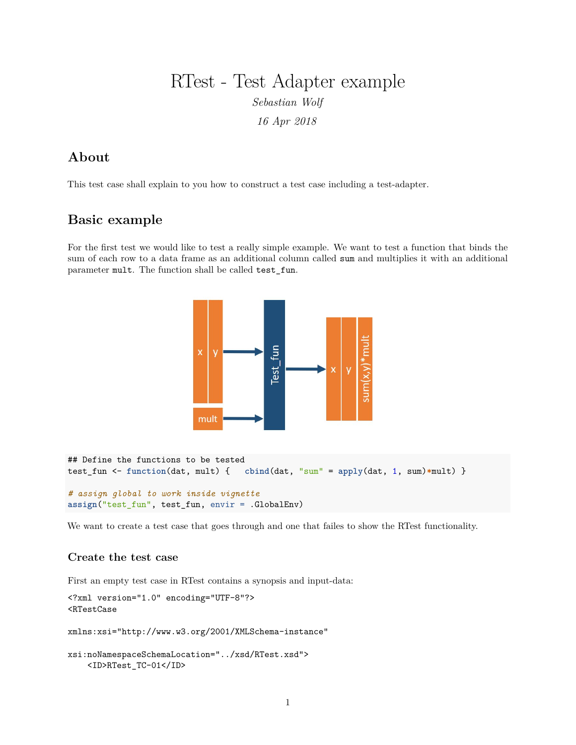# RTest - Test Adapter example

*Sebastian Wolf*

*16 Apr 2018*

## **About**

This test case shall explain to you how to construct a test case including a test-adapter.

### **Basic example**

For the first test we would like to test a really simple example. We want to test a function that binds the sum of each row to a data frame as an additional column called sum and multiplies it with an additional parameter mult. The function shall be called test\_fun.



```
## Define the functions to be tested
test_fun <- function(dat, mult) { cbind(dat, "sum" = apply(dat, 1, sum)*mult) }
# assign global to work inside vignette
```
**assign**("test\_fun", test\_fun, envir = .GlobalEnv)

We want to create a test case that goes through and one that failes to show the RTest functionality.

### **Create the test case**

First an empty test case in RTest contains a synopsis and input-data:

```
<?xml version="1.0" encoding="UTF-8"?>
<RTestCase
xmlns:xsi="http://www.w3.org/2001/XMLSchema-instance"
xsi:noNamespaceSchemaLocation="../xsd/RTest.xsd">
    <ID>RTest_TC-01</ID>
```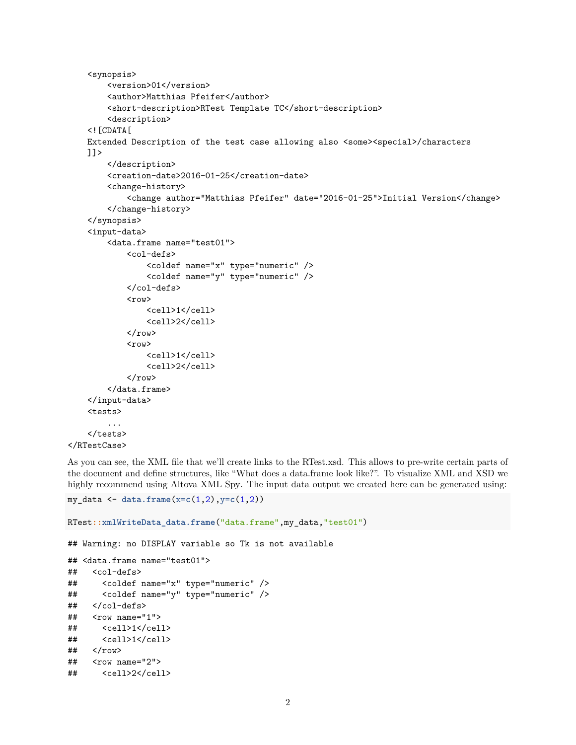```
<synopsis>
        <version>01</version>
        <author>Matthias Pfeifer</author>
        <short-description>RTest Template TC</short-description>
        <description>
    \leq! [CDATA [
    Extended Description of the test case allowing also <some><special>/characters
    ]]>
        </description>
        <creation-date>2016-01-25</creation-date>
        <change-history>
            <change author="Matthias Pfeifer" date="2016-01-25">Initial Version</change>
        </change-history>
    </synopsis>
    <input-data>
        <data.frame name="test01">
            <col-defs>
                 <coldef name="x" type="numeric" />
                 <coldef name="y" type="numeric" />
            </col-defs>
            <row>
                 <cell>1</cell>
                 <cell>2</cell>
            \langlerow\rangle<row>
                 <cell>1</cell>
                 <cell>2</cell>
            \langlerow>
        </data.frame>
    </input-data>
    <tests>
        ...
    </tests>
</RTestCase>
```
As you can see, the XML file that we'll create links to the RTest.xsd. This allows to pre-write certain parts of the document and define structures, like "What does a data.frame look like?". To visualize XML and XSD we highly recommend using Altova XML Spy. The input data output we created here can be generated using:

```
my_data <- data.frame(x=c(1,2),y=c(1,2))
```

```
RTest::xmlWriteData_data.frame("data.frame",my_data,"test01")
## Warning: no DISPLAY variable so Tk is not available
## <data.frame name="test01">
## <col-defs>
## <coldef name="x" type="numeric" />
## <coldef name="y" type="numeric" />
## </col-defs>
## <row name="1">
## <cell>1</cell>
## <cell>1</cell>
\## </row>
## <row name="2">
## <cell>2</cell>
```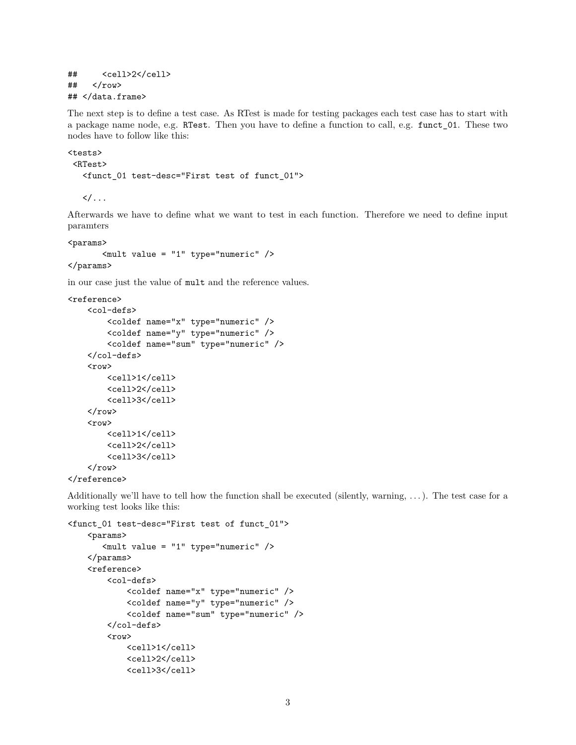```
## <cell>2</cell>
## </row>
## </data.frame>
```
The next step is to define a test case. As RTest is made for testing packages each test case has to start with a package name node, e.g. RTest. Then you have to define a function to call, e.g. funct\_01. These two nodes have to follow like this:

```
<tests>
 <RTest>
  <funct_01 test-desc="First test of funct_01">
```
 $\langle$   $\rangle$  . . .

Afterwards we have to define what we want to test in each function. Therefore we need to define input paramters

<params>

```
\text{ 24} value = "1" type="numeric" />
</params>
```
in our case just the value of mult and the reference values.

```
<reference>
    <col-defs>
         <coldef name="x" type="numeric" />
         <coldef name="y" type="numeric" />
         <coldef name="sum" type="numeric" />
    </col-defs>
    <row>
         <cell>1</cell>
         <cell>2</cell>
         <cell>3</cell>
    \langlerow\rangle<row>
         <cell>1</cell>
         <cell>2</cell>
         <cell>3</cell>
    \langlerow\rangle</reference>
```
Additionally we'll have to tell how the function shall be executed (silently, warning,  $\dots$ ). The test case for a working test looks like this:

```
<funct_01 test-desc="First test of funct_01">
    <params>
       <mult value = "1" type="numeric" />
    </params>
    <reference>
        <col-defs>
            <coldef name="x" type="numeric" />
            <coldef name="y" type="numeric" />
            <coldef name="sum" type="numeric" />
        </col-defs>
        <row>
            <cell>1</cell>
            <cell>2</cell>
            <cell>3</cell>
```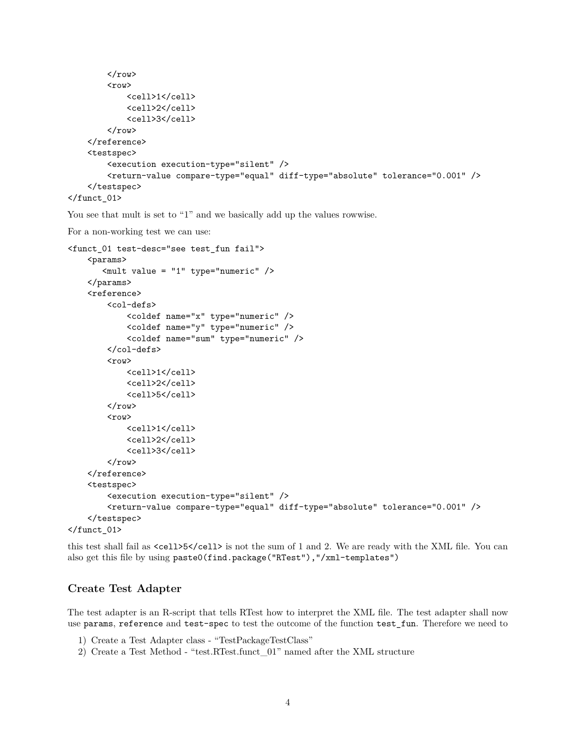```
\langlerow>
         <row>
             <cell>1</cell>
             <cell>2</cell>
             <cell>3</cell>
         \langlerow\rangle</reference>
    <testspec>
         <execution execution-type="silent" />
         <return-value compare-type="equal" diff-type="absolute" tolerance="0.001" />
    </testspec>
\langlefunct_01>
```
You see that mult is set to "1" and we basically add up the values rowwise.

```
For a non-working test we can use:
```

```
<funct_01 test-desc="see test_fun fail">
      <params>
           \text{4} \text{ } \text{ } \text{ } \text{ } \text{ } \text{ } \text{ } \text{ } \text{ } \text{ } \text{ } \text{ } \text{ } \text{ } \text{ } \text{ } \text{ } \text{ } \text{ } \text{ } \text{ } \text{ } \text{ } \text{ } \text{ } \text{ } \text{ } \text{ } \text{ } \text{ } \</params>
      <reference>
            <col-defs>
                   <coldef name="x" type="numeric" />
                   <coldef name="y" type="numeric" />
                   <coldef name="sum" type="numeric" />
            </col-defs>
            \langle \text{row} \rangle<cell>1</cell>
                   <cell>2</cell>
                  <cell>5</cell>
            \langlerow>
            <row><cell>1</cell>
                   <cell>2</cell>
                   <cell>3</cell>
            \langlerow>
      \langlereference>
      <testspec>
            <execution execution-type="silent" />
            <return-value compare-type="equal" diff-type="absolute" tolerance="0.001" />
      </testspec>
\frac{1}{2}
```
this test shall fail as <cell>5</cell> is not the sum of 1 and 2. We are ready with the XML file. You can also get this file by using paste0(find.package("RTest"),"/xml-templates")

#### **Create Test Adapter**

The test adapter is an R-script that tells RTest how to interpret the XML file. The test adapter shall now use params, reference and test-spec to test the outcome of the function test\_fun. Therefore we need to

- 1) Create a Test Adapter class "TestPackageTestClass"
- 2) Create a Test Method "test.RTest.funct\_01" named after the XML structure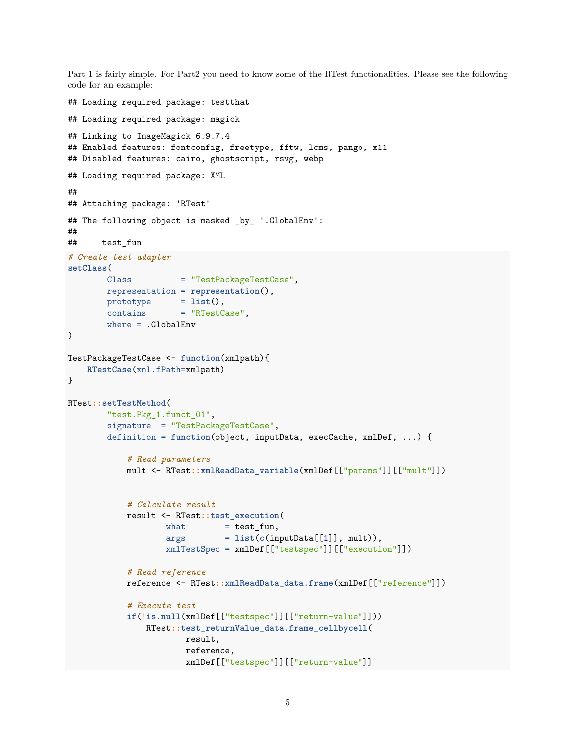Part 1 is fairly simple. For Part2 you need to know some of the RTest functionalities. Please see the following code for an example:

```
## Loading required package: testthat
## Loading required package: magick
## Linking to ImageMagick 6.9.7.4
## Enabled features: fontconfig, freetype, fftw, lcms, pango, x11
## Disabled features: cairo, ghostscript, rsvg, webp
## Loading required package: XML
##
## Attaching package: 'RTest'
## The following object is masked _by_ '.GlobalEnv':
##
## test_fun
# Create test adapter
setClass(
       Class = "TestPackageTestCase",
       representation = representation(),
       prototype = list(),
       contains = "RTestCase",
       where = .GlobalEnv
\lambdaTestPackageTestCase <- function(xmlpath){
   RTestCase(xml.fPath=xmlpath)
}
RTest::setTestMethod(
       "test.Pkg_1.funct_01",
       signature = "TestPackageTestCase",
       definition = function(object, inputData, execCache, xmlDef, ...) {
           # Read parameters
           mult <- RTest::xmlReadData_variable(xmlDef[["params"]][["mult"]])
           # Calculate result
           result <- RTest::test_execution(
                   what = test fun,
                   args = list(c(inputData[[1]], mult)),
                   xmlTestSpec = xmlDef[["testspec"]][["execution"]])
           # Read reference
           reference <- RTest::xmlReadData_data.frame(xmlDef[["reference"]])
           # Execute test
           if(!is.null(xmlDef[["testspec"]][["return-value"]]))
               RTest::test_returnValue_data.frame_cellbycell(
                       result,
                       reference,
                       xmlDef[["testspec"]][["return-value"]]
```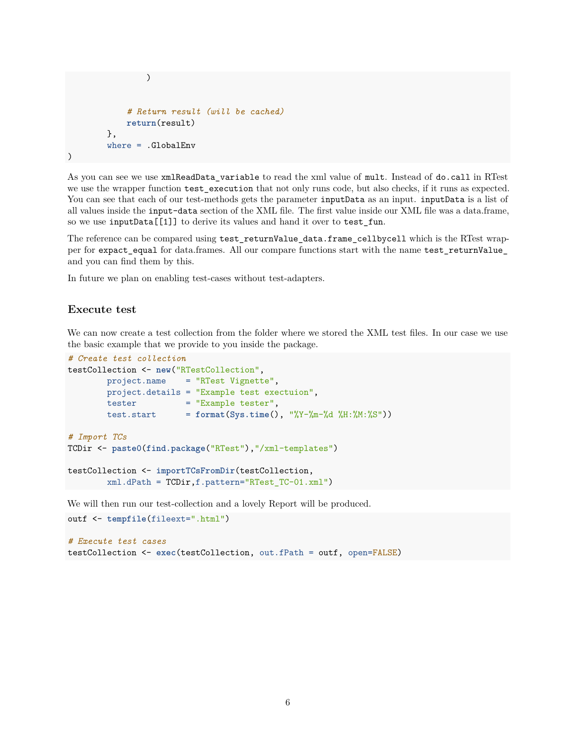```
)
            # Return result (will be cached)
            return(result)
        },
        where = .GlobalEnv
)
```
As you can see we use xmlReadData\_variable to read the xml value of mult. Instead of do.call in RTest we use the wrapper function test execution that not only runs code, but also checks, if it runs as expected. You can see that each of our test-methods gets the parameter inputData as an input. inputData is a list of all values inside the input-data section of the XML file. The first value inside our XML file was a data.frame, so we use inputData[[1]] to derive its values and hand it over to test\_fun.

The reference can be compared using test\_returnValue\_data.frame\_cellbycell which is the RTest wrapper for expact\_equal for data.frames. All our compare functions start with the name test\_returnValue\_ and you can find them by this.

In future we plan on enabling test-cases without test-adapters.

#### **Execute test**

We can now create a test collection from the folder where we stored the XML test files. In our case we use the basic example that we provide to you inside the package.

```
# Create test collection
testCollection <- new("RTestCollection",
       project.name = "RTest Vignette",
       project.details = "Example test exectuion",
       tester = "Example tester",
       test.start = format(Sys.time(), "%Y-%m-%d %H:%M:%S"))
# Import TCs
TCDir <- paste0(find.package("RTest"),"/xml-templates")
testCollection <- importTCsFromDir(testCollection,
       xml.dPath = TCDir,f.pattern="RTest_TC-01.xml")
```
We will then run our test-collection and a lovely Report will be produced.

```
outf <- tempfile(fileext=".html")
# Execute test cases
testCollection <- exec(testCollection, out.fPath = outf, open=FALSE)
```